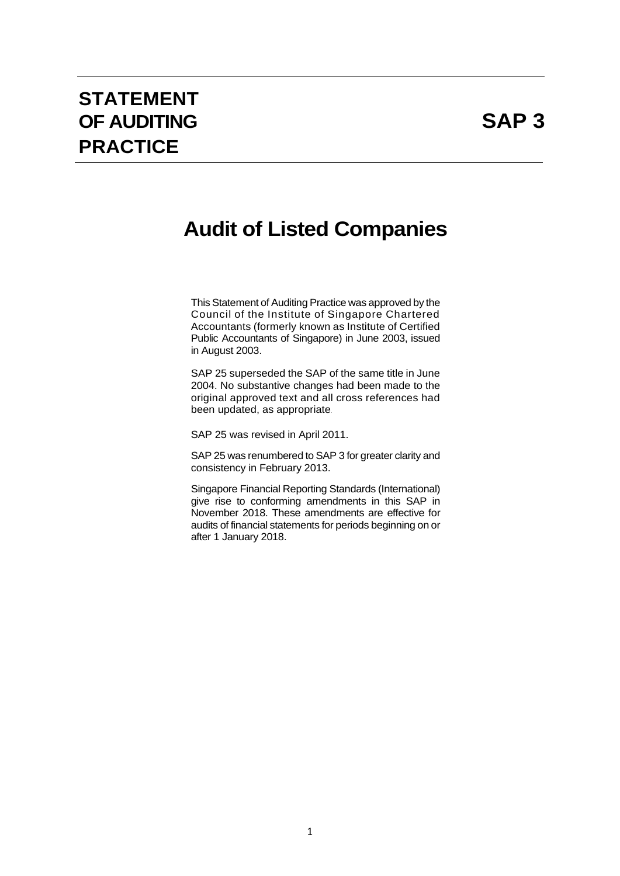# **STATEMENT OF AUDITING SAP 3 PRACTICE**

# **Audit of Listed Companies**

This Statement of Auditing Practice was approved by the Council of the Institute of Singapore Chartered Accountants (formerly known as Institute of Certified Public Accountants of Singapore) in June 2003, issued in August 2003.

SAP 25 superseded the SAP of the same title in June 2004. No substantive changes had been made to the original approved text and all cross references had been updated, as appropriate.

SAP 25 was revised in April 2011.

SAP 25 was renumbered to SAP 3 for greater clarity and consistency in February 2013.

Singapore Financial Reporting Standards (International) give rise to conforming amendments in this SAP in November 2018. These amendments are effective for audits of financial statements for periods beginning on or after 1 January 2018.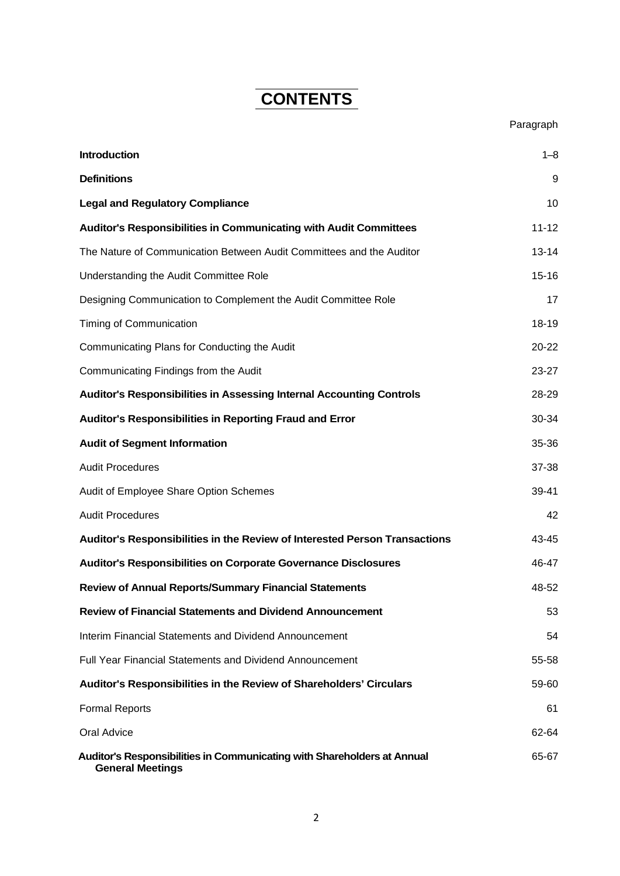# **CONTENTS**

| <b>Introduction</b>                                                                                | $1 - 8$   |
|----------------------------------------------------------------------------------------------------|-----------|
| <b>Definitions</b>                                                                                 | 9         |
| <b>Legal and Regulatory Compliance</b>                                                             | 10        |
| <b>Auditor's Responsibilities in Communicating with Audit Committees</b>                           | $11 - 12$ |
| The Nature of Communication Between Audit Committees and the Auditor                               | $13 - 14$ |
| Understanding the Audit Committee Role                                                             | $15 - 16$ |
| Designing Communication to Complement the Audit Committee Role                                     | 17        |
| Timing of Communication                                                                            | 18-19     |
| Communicating Plans for Conducting the Audit                                                       | 20-22     |
| Communicating Findings from the Audit                                                              | 23-27     |
| Auditor's Responsibilities in Assessing Internal Accounting Controls                               | 28-29     |
| Auditor's Responsibilities in Reporting Fraud and Error                                            | 30-34     |
| <b>Audit of Segment Information</b>                                                                | 35-36     |
| <b>Audit Procedures</b>                                                                            | 37-38     |
| Audit of Employee Share Option Schemes                                                             | 39-41     |
| <b>Audit Procedures</b>                                                                            | 42        |
| Auditor's Responsibilities in the Review of Interested Person Transactions                         | 43-45     |
| <b>Auditor's Responsibilities on Corporate Governance Disclosures</b>                              | 46-47     |
| <b>Review of Annual Reports/Summary Financial Statements</b>                                       | 48-52     |
| <b>Review of Financial Statements and Dividend Announcement</b>                                    | 53        |
| Interim Financial Statements and Dividend Announcement                                             | 54        |
| <b>Full Year Financial Statements and Dividend Announcement</b>                                    | 55-58     |
| Auditor's Responsibilities in the Review of Shareholders' Circulars                                | 59-60     |
| <b>Formal Reports</b>                                                                              | 61        |
| Oral Advice                                                                                        | 62-64     |
| Auditor's Responsibilities in Communicating with Shareholders at Annual<br><b>General Meetings</b> | 65-67     |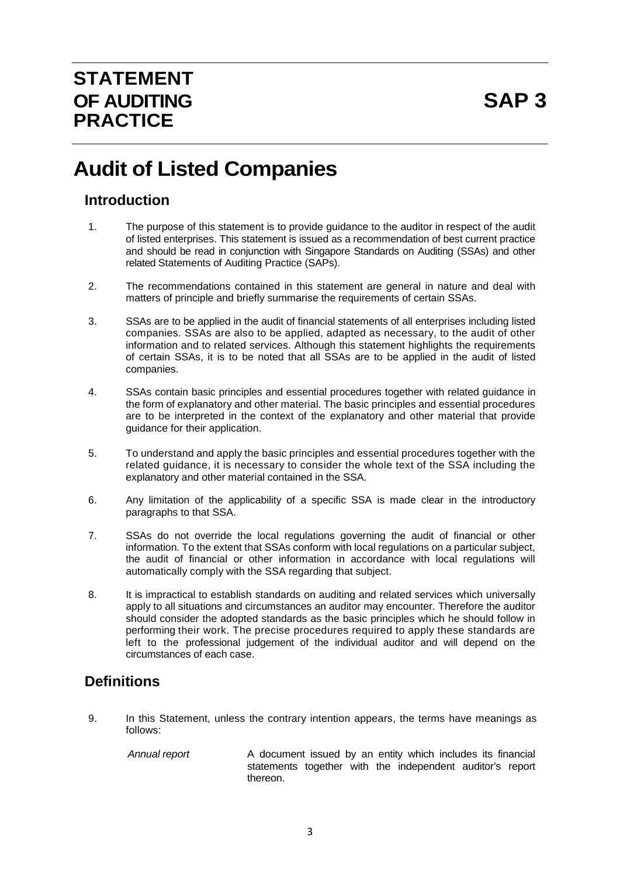# **Audit of Listed Companies**

## **Introduction**

- 1. The purpose of this statement is to provide guidance to the auditor in respect of the audit of listed enterprises. This statement is issued as a recommendation of best current practice and should be read in conjunction with Singapore Standards on Auditing (SSAs) and other related Statements of Auditing Practice (SAPs).
- 2. The recommendations contained in this statement are general in nature and deal with matters of principle and briefly summarise the requirements of certain SSAs.
- 3. SSAs are to be applied in the audit of financial statements of all enterprises including listed companies. SSAs are also to be applied, adapted as necessary, to the audit of other information and to related services. Although this statement highlights the requirements of certain SSAs, it is to be noted that all SSAs are to be applied in the audit of listed companies.
- 4. SSAs contain basic principles and essential procedures together with related guidance in the form of explanatory and other material. The basic principles and essential procedures are to be interpreted in the context of the explanatory and other material that provide guidance for their application.
- 5. To understand and apply the basic principles and essential procedures together with the related guidance, it is necessary to consider the whole text of the SSA including the explanatory and other material contained in the SSA.
- 6. Any limitation of the applicability of a specific SSA is made clear in the introductory paragraphs to that SSA.
- 7. SSAs do not override the local regulations governing the audit of financial or other information. To the extent that SSAs conform with local regulations on a particular subject, the audit of financial or other information in accordance with local regulations will automatically comply with the SSA regarding that subject.
- 8. It is impractical to establish standards on auditing and related services which universally apply to all situations and circumstances an auditor may encounter. Therefore the auditor should consider the adopted standards as the basic principles which he should follow in performing their work. The precise procedures required to apply these standards are left to the professional judgement of the individual auditor and will depend on the circumstances of each case.

# **Definitions**

9. In this Statement, unless the contrary intention appears, the terms have meanings as follows:

*Annual report* A document issued by an entity which includes its financial statements together with the independent auditor's report thereon.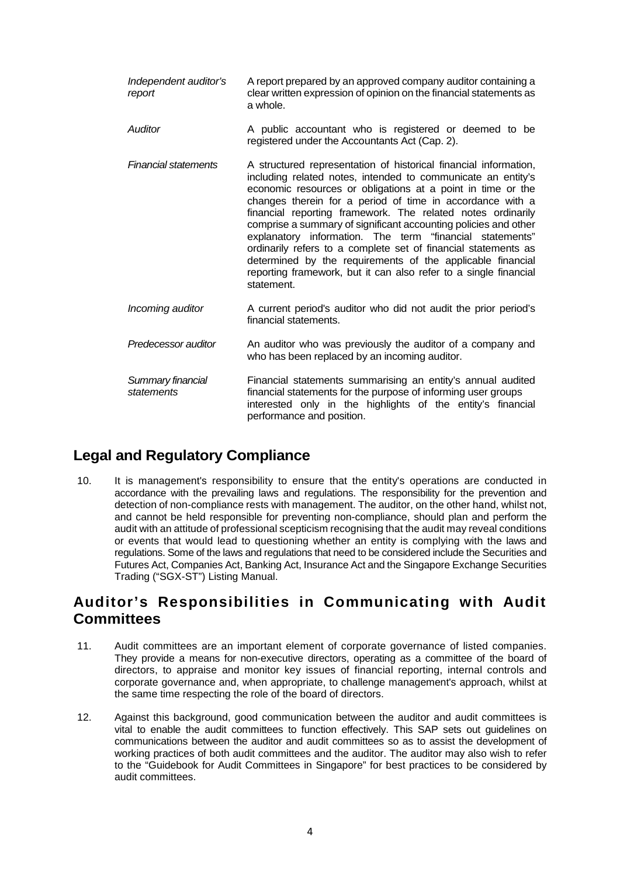- *Independent auditor's report* A report prepared by an approved company auditor containing a clear written expression of opinion on the financial statements as a whole.
- *Auditor* A public accountant who is registered or deemed to be registered under the Accountants Act (Cap. 2).
- *Financial statements* A structured representation of historical financial information, including related notes, intended to communicate an entity's economic resources or obligations at a point in time or the changes therein for a period of time in accordance with a financial reporting framework. The related notes ordinarily comprise a summary of significant accounting policies and other explanatory information. The term "financial statements" ordinarily refers to a complete set of financial statements as determined by the requirements of the applicable financial reporting framework, but it can also refer to a single financial statement.
- *Incoming auditor* A current period's auditor who did not audit the prior period's financial statements.
- *Predecessor auditor* An auditor who was previously the auditor of a company and who has been replaced by an incoming auditor.
- *Summary financial statements*  Financial statements summarising an entity's annual audited financial statements for the purpose of informing user groups interested only in the highlights of the entity's financial performance and position.

# **Legal and Regulatory Compliance**

10. It is management's responsibility to ensure that the entity's operations are conducted in accordance with the prevailing laws and regulations. The responsibility for the prevention and detection of non-compliance rests with management. The auditor, on the other hand, whilst not, and cannot be held responsible for preventing non-compliance, should plan and perform the audit with an attitude of professional scepticism recognising that the audit may reveal conditions or events that would lead to questioning whether an entity is complying with the laws and regulations. Some of the laws and regulations that need to be considered include the Securities and Futures Act, Companies Act, Banking Act, Insurance Act and the Singapore Exchange Securities Trading ("SGX-ST") Listing Manual.

# **Auditor's Responsibilities in Communicating with Audit Committees**

- 11. Audit committees are an important element of corporate governance of listed companies. They provide a means for non-executive directors, operating as a committee of the board of directors, to appraise and monitor key issues of financial reporting, internal controls and corporate governance and, when appropriate, to challenge management's approach, whilst at the same time respecting the role of the board of directors.
- 12. Against this background, good communication between the auditor and audit committees is vital to enable the audit committees to function effectively. This SAP sets out guidelines on communications between the auditor and audit committees so as to assist the development of working practices of both audit committees and the auditor. The auditor may also wish to refer to the "Guidebook for Audit Committees in Singapore" for best practices to be considered by audit committees.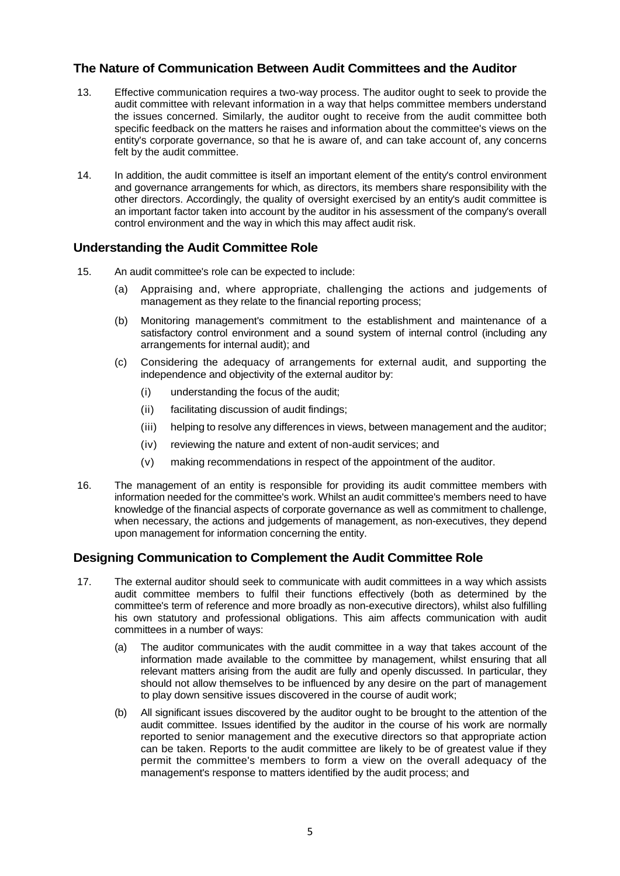#### **The Nature of Communication Between Audit Committees and the Auditor**

- 13. Effective communication requires a two-way process. The auditor ought to seek to provide the audit committee with relevant information in a way that helps committee members understand the issues concerned. Similarly, the auditor ought to receive from the audit committee both specific feedback on the matters he raises and information about the committee's views on the entity's corporate governance, so that he is aware of, and can take account of, any concerns felt by the audit committee.
- 14. In addition, the audit committee is itself an important element of the entity's control environment and governance arrangements for which, as directors, its members share responsibility with the other directors. Accordingly, the quality of oversight exercised by an entity's audit committee is an important factor taken into account by the auditor in his assessment of the company's overall control environment and the way in which this may affect audit risk.

#### **Understanding the Audit Committee Role**

- 15. An audit committee's role can be expected to include:
	- (a) Appraising and, where appropriate, challenging the actions and judgements of management as they relate to the financial reporting process;
	- (b) Monitoring management's commitment to the establishment and maintenance of a satisfactory control environment and a sound system of internal control (including any arrangements for internal audit); and
	- (c) Considering the adequacy of arrangements for external audit, and supporting the independence and objectivity of the external auditor by:
		- (i) understanding the focus of the audit;
		- (ii) facilitating discussion of audit findings;
		- (iii) helping to resolve any differences in views, between management and the auditor;
		- (iv) reviewing the nature and extent of non-audit services; and
		- (v) making recommendations in respect of the appointment of the auditor.
- 16. The management of an entity is responsible for providing its audit committee members with information needed for the committee's work. Whilst an audit committee's members need to have knowledge of the financial aspects of corporate governance as well as commitment to challenge, when necessary, the actions and judgements of management, as non-executives, they depend upon management for information concerning the entity.

#### **Designing Communication to Complement the Audit Committee Role**

- 17. The external auditor should seek to communicate with audit committees in a way which assists audit committee members to fulfil their functions effectively (both as determined by the committee's term of reference and more broadly as non-executive directors), whilst also fulfilling his own statutory and professional obligations. This aim affects communication with audit committees in a number of ways:
	- (a) The auditor communicates with the audit committee in a way that takes account of the information made available to the committee by management, whilst ensuring that all relevant matters arising from the audit are fully and openly discussed. In particular, they should not allow themselves to be influenced by any desire on the part of management to play down sensitive issues discovered in the course of audit work;
	- (b) All significant issues discovered by the auditor ought to be brought to the attention of the audit committee. Issues identified by the auditor in the course of his work are normally reported to senior management and the executive directors so that appropriate action can be taken. Reports to the audit committee are likely to be of greatest value if they permit the committee's members to form a view on the overall adequacy of the management's response to matters identified by the audit process; and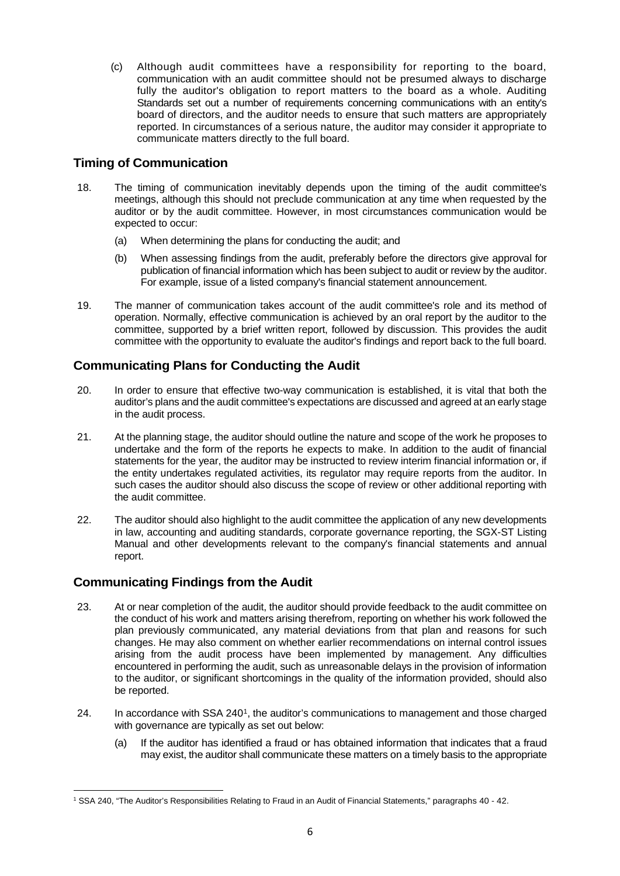(c) Although audit committees have a responsibility for reporting to the board, communication with an audit committee should not be presumed always to discharge fully the auditor's obligation to report matters to the board as a whole. Auditing Standards set out a number of requirements concerning communications with an entity's board of directors, and the auditor needs to ensure that such matters are appropriately reported. In circumstances of a serious nature, the auditor may consider it appropriate to communicate matters directly to the full board.

### **Timing of Communication**

- 18. The timing of communication inevitably depends upon the timing of the audit committee's meetings, although this should not preclude communication at any time when requested by the auditor or by the audit committee. However, in most circumstances communication would be expected to occur:
	- (a) When determining the plans for conducting the audit; and
	- (b) When assessing findings from the audit, preferably before the directors give approval for publication of financial information which has been subject to audit or review by the auditor. For example, issue of a listed company's financial statement announcement.
- 19. The manner of communication takes account of the audit committee's role and its method of operation. Normally, effective communication is achieved by an oral report by the auditor to the committee, supported by a brief written report, followed by discussion. This provides the audit committee with the opportunity to evaluate the auditor's findings and report back to the full board.

#### **Communicating Plans for Conducting the Audit**

- 20. In order to ensure that effective two-way communication is established, it is vital that both the auditor's plans and the audit committee's expectations are discussed and agreed at an early stage in the audit process.
- 21. At the planning stage, the auditor should outline the nature and scope of the work he proposes to undertake and the form of the reports he expects to make. In addition to the audit of financial statements for the year, the auditor may be instructed to review interim financial information or, if the entity undertakes regulated activities, its regulator may require reports from the auditor. In such cases the auditor should also discuss the scope of review or other additional reporting with the audit committee.
- 22. The auditor should also highlight to the audit committee the application of any new developments in law, accounting and auditing standards, corporate governance reporting, the SGX-ST Listing Manual and other developments relevant to the company's financial statements and annual report.

#### **Communicating Findings from the Audit**

- 23. At or near completion of the audit, the auditor should provide feedback to the audit committee on the conduct of his work and matters arising therefrom, reporting on whether his work followed the plan previously communicated, any material deviations from that plan and reasons for such changes. He may also comment on whether earlier recommendations on internal control issues arising from the audit process have been implemented by management. Any difficulties encountered in performing the audit, such as unreasonable delays in the provision of information to the auditor, or significant shortcomings in the quality of the information provided, should also be reported.
- 24. In accordance with SSA 2401, the auditor's communications to management and those charged with governance are typically as set out below:
	- (a) If the auditor has identified a fraud or has obtained information that indicates that a fraud may exist, the auditor shall communicate these matters on a timely basis to the appropriate

 $\overline{a}$ <sup>1</sup> SSA 240, "The Auditor's Responsibilities Relating to Fraud in an Audit of Financial Statements," paragraphs 40 - 42.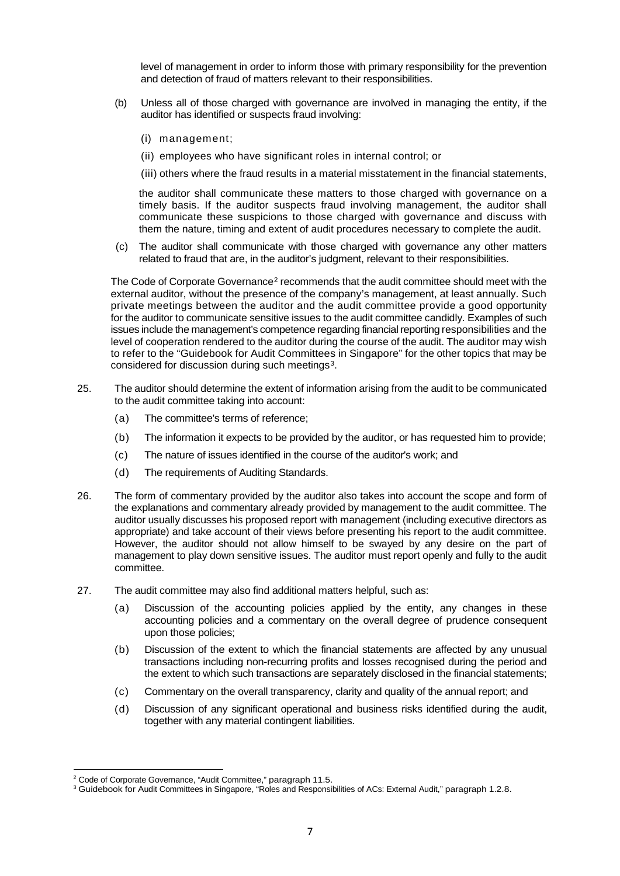level of management in order to inform those with primary responsibility for the prevention and detection of fraud of matters relevant to their responsibilities.

- (b) Unless all of those charged with governance are involved in managing the entity, if the auditor has identified or suspects fraud involving:
	- (i) management;
	- (ii) employees who have significant roles in internal control; or

(iii) others where the fraud results in a material misstatement in the financial statements,

the auditor shall communicate these matters to those charged with governance on a timely basis. If the auditor suspects fraud involving management, the auditor shall communicate these suspicions to those charged with governance and discuss with them the nature, timing and extent of audit procedures necessary to complete the audit.

(c) The auditor shall communicate with those charged with governance any other matters related to fraud that are, in the auditor's judgment, relevant to their responsibilities.

The Code of Corporate Governance<sup>2</sup> recommends that the audit committee should meet with the external auditor, without the presence of the company's management, at least annually. Such private meetings between the auditor and the audit committee provide a good opportunity for the auditor to communicate sensitive issues to the audit committee candidly. Examples of such issues include the management's competence regarding financial reporting responsibilities and the level of cooperation rendered to the auditor during the course of the audit. The auditor may wish to refer to the "Guidebook for Audit Committees in Singapore" for the other topics that may be considered for discussion during such meetings<sup>3</sup>.

- 25. The auditor should determine the extent of information arising from the audit to be communicated to the audit committee taking into account:
	- (a) The committee's terms of reference;
	- (b) The information it expects to be provided by the auditor, or has requested him to provide;
	- (c) The nature of issues identified in the course of the auditor's work; and
	- (d) The requirements of Auditing Standards.
- 26. The form of commentary provided by the auditor also takes into account the scope and form of the explanations and commentary already provided by management to the audit committee. The auditor usually discusses his proposed report with management (including executive directors as appropriate) and take account of their views before presenting his report to the audit committee. However, the auditor should not allow himself to be swayed by any desire on the part of management to play down sensitive issues. The auditor must report openly and fully to the audit committee.
- 27. The audit committee may also find additional matters helpful, such as:
	- (a) Discussion of the accounting policies applied by the entity, any changes in these accounting policies and a commentary on the overall degree of prudence consequent upon those policies;
	- (b) Discussion of the extent to which the financial statements are affected by any unusual transactions including non-recurring profits and losses recognised during the period and the extent to which such transactions are separately disclosed in the financial statements;
	- (c) Commentary on the overall transparency, clarity and quality of the annual report; and
	- (d) Discussion of any significant operational and business risks identified during the audit, together with any material contingent liabilities.

 $\overline{a}$ <sup>2</sup> Code of Corporate Governance, "Audit Committee," paragraph 11.5.

<sup>3</sup> Guidebook for Audit Committees in Singapore, "Roles and Responsibilities of ACs: External Audit," paragraph 1.2.8.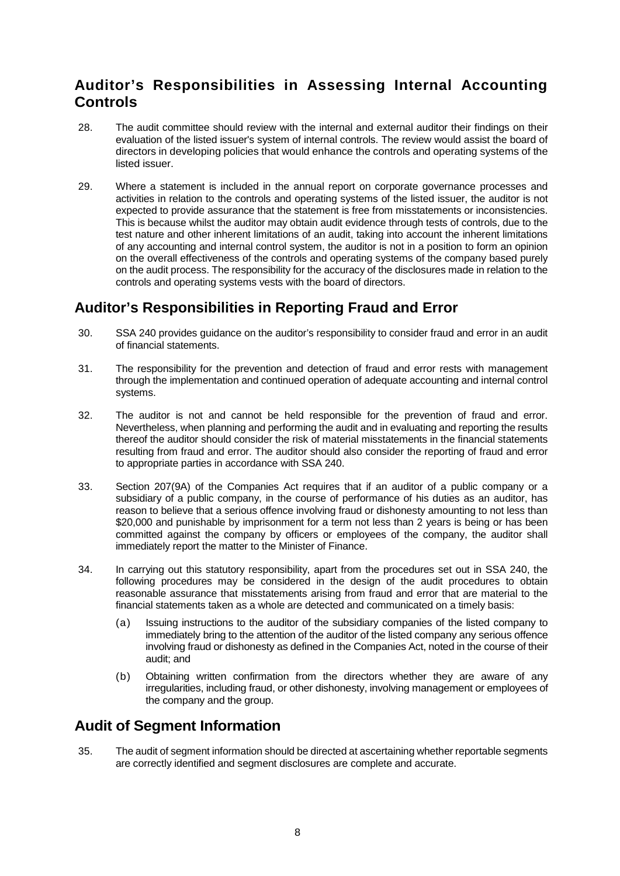# **Auditor's Responsibilities in Assessing Internal Accounting Controls**

- 28. The audit committee should review with the internal and external auditor their findings on their evaluation of the listed issuer's system of internal controls. The review would assist the board of directors in developing policies that would enhance the controls and operating systems of the listed issuer.
- 29. Where a statement is included in the annual report on corporate governance processes and activities in relation to the controls and operating systems of the listed issuer, the auditor is not expected to provide assurance that the statement is free from misstatements or inconsistencies. This is because whilst the auditor may obtain audit evidence through tests of controls, due to the test nature and other inherent limitations of an audit, taking into account the inherent limitations of any accounting and internal control system, the auditor is not in a position to form an opinion on the overall effectiveness of the controls and operating systems of the company based purely on the audit process. The responsibility for the accuracy of the disclosures made in relation to the controls and operating systems vests with the board of directors.

# **Auditor's Responsibilities in Reporting Fraud and Error**

- 30. SSA 240 provides guidance on the auditor's responsibility to consider fraud and error in an audit of financial statements.
- 31. The responsibility for the prevention and detection of fraud and error rests with management through the implementation and continued operation of adequate accounting and internal control systems.
- 32. The auditor is not and cannot be held responsible for the prevention of fraud and error. Nevertheless, when planning and performing the audit and in evaluating and reporting the results thereof the auditor should consider the risk of material misstatements in the financial statements resulting from fraud and error. The auditor should also consider the reporting of fraud and error to appropriate parties in accordance with SSA 240.
- 33. Section 207(9A) of the Companies Act requires that if an auditor of a public company or a subsidiary of a public company, in the course of performance of his duties as an auditor, has reason to believe that a serious offence involving fraud or dishonesty amounting to not less than \$20,000 and punishable by imprisonment for a term not less than 2 years is being or has been committed against the company by officers or employees of the company, the auditor shall immediately report the matter to the Minister of Finance.
- 34. In carrying out this statutory responsibility, apart from the procedures set out in SSA 240, the following procedures may be considered in the design of the audit procedures to obtain reasonable assurance that misstatements arising from fraud and error that are material to the financial statements taken as a whole are detected and communicated on a timely basis:
	- (a) Issuing instructions to the auditor of the subsidiary companies of the listed company to immediately bring to the attention of the auditor of the listed company any serious offence involving fraud or dishonesty as defined in the Companies Act, noted in the course of their audit; and
	- (b) Obtaining written confirmation from the directors whether they are aware of any irregularities, including fraud, or other dishonesty, involving management or employees of the company and the group.

### **Audit of Segment Information**

35. The audit of segment information should be directed at ascertaining whether reportable segments are correctly identified and segment disclosures are complete and accurate.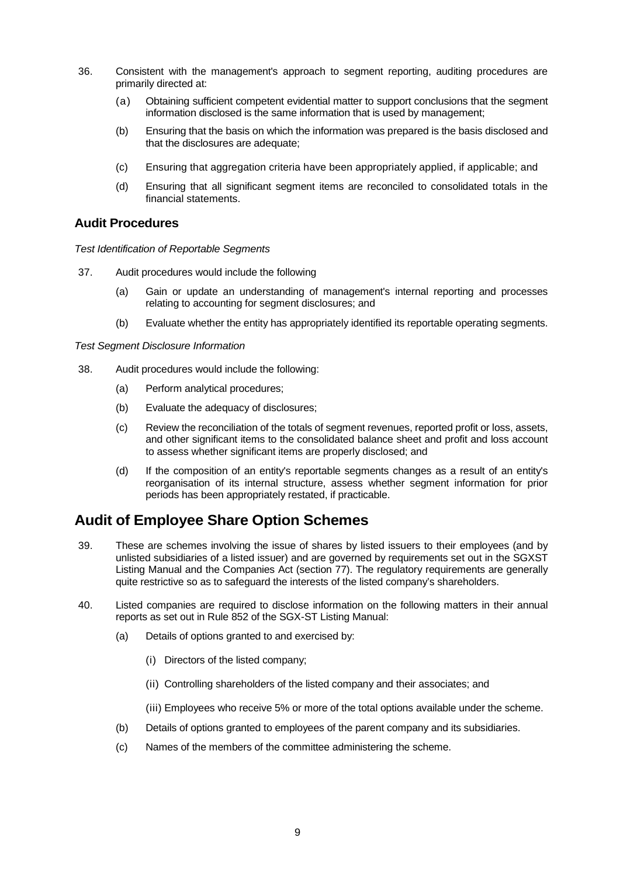- 36. Consistent with the management's approach to segment reporting, auditing procedures are primarily directed at:
	- (a) Obtaining sufficient competent evidential matter to support conclusions that the segment information disclosed is the same information that is used by management;
	- (b) Ensuring that the basis on which the information was prepared is the basis disclosed and that the disclosures are adequate;
	- (c) Ensuring that aggregation criteria have been appropriately applied, if applicable; and
	- (d) Ensuring that all significant segment items are reconciled to consolidated totals in the financial statements.

#### **Audit Procedures**

*Test Identification of Reportable Segments*

- 37. Audit procedures would include the following
	- (a) Gain or update an understanding of management's internal reporting and processes relating to accounting for segment disclosures; and
	- (b) Evaluate whether the entity has appropriately identified its reportable operating segments.

*Test Segment Disclosure Information*

- 38. Audit procedures would include the following:
	- (a) Perform analytical procedures;
	- (b) Evaluate the adequacy of disclosures;
	- (c) Review the reconciliation of the totals of segment revenues, reported profit or loss, assets, and other significant items to the consolidated balance sheet and profit and loss account to assess whether significant items are properly disclosed; and
	- (d) If the composition of an entity's reportable segments changes as a result of an entity's reorganisation of its internal structure, assess whether segment information for prior periods has been appropriately restated, if practicable.

# **Audit of Employee Share Option Schemes**

- 39. These are schemes involving the issue of shares by listed issuers to their employees (and by unlisted subsidiaries of a listed issuer) and are governed by requirements set out in the SGXST Listing Manual and the Companies Act (section 77). The regulatory requirements are generally quite restrictive so as to safeguard the interests of the listed company's shareholders.
- 40. Listed companies are required to disclose information on the following matters in their annual reports as set out in Rule 852 of the SGX-ST Listing Manual:
	- (a) Details of options granted to and exercised by:
		- (i) Directors of the listed company;
		- (ii) Controlling shareholders of the listed company and their associates; and
		- (iii) Employees who receive 5% or more of the total options available under the scheme.
	- (b) Details of options granted to employees of the parent company and its subsidiaries.
	- (c) Names of the members of the committee administering the scheme.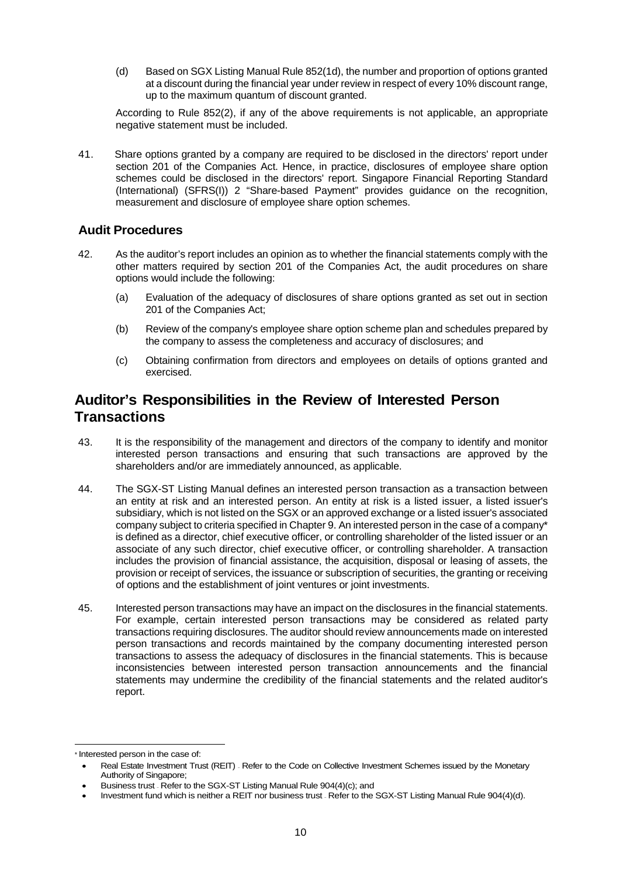(d) Based on SGX Listing Manual Rule 852(1d), the number and proportion of options granted at a discount during the financial year under review in respect of every 10% discount range, up to the maximum quantum of discount granted.

According to Rule 852(2), if any of the above requirements is not applicable, an appropriate negative statement must be included.

41. Share options granted by a company are required to be disclosed in the directors' report under section 201 of the Companies Act. Hence, in practice, disclosures of employee share option schemes could be disclosed in the directors' report. Singapore Financial Reporting Standard (International) (SFRS(I)) 2 "Share-based Payment" provides guidance on the recognition, measurement and disclosure of employee share option schemes.

#### **Audit Procedures**

- 42. As the auditor's report includes an opinion as to whether the financial statements comply with the other matters required by section 201 of the Companies Act, the audit procedures on share options would include the following:
	- (a) Evaluation of the adequacy of disclosures of share options granted as set out in section 201 of the Companies Act;
	- (b) Review of the company's employee share option scheme plan and schedules prepared by the company to assess the completeness and accuracy of disclosures; and
	- (c) Obtaining confirmation from directors and employees on details of options granted and exercised.

### **Auditor's Responsibilities in the Review of Interested Person Transactions**

- 43. It is the responsibility of the management and directors of the company to identify and monitor interested person transactions and ensuring that such transactions are approved by the shareholders and/or are immediately announced, as applicable.
- 44. The SGX-ST Listing Manual defines an interested person transaction as a transaction between an entity at risk and an interested person. An entity at risk is a listed issuer, a listed issuer's subsidiary, which is not listed on the SGX or an approved exchange or a listed issuer's associated company subject to criteria specified in Chapter 9. An interested person in the case of a company\* is defined as a director, chief executive officer, or controlling shareholder of the listed issuer or an associate of any such director, chief executive officer, or controlling shareholder. A transaction includes the provision of financial assistance, the acquisition, disposal or leasing of assets, the provision or receipt of services, the issuance or subscription of securities, the granting or receiving of options and the establishment of joint ventures or joint investments.
- 45. Interested person transactions may have an impact on the disclosures in the financial statements. For example, certain interested person transactions may be considered as related party transactions requiring disclosures. The auditor should review announcements made on interested person transactions and records maintained by the company documenting interested person transactions to assess the adequacy of disclosures in the financial statements. This is because inconsistencies between interested person transaction announcements and the financial statements may undermine the credibility of the financial statements and the related auditor's report.

<sup>\*</sup> Interested person in the case of:

<sup>•</sup> Real Estate Investment Trust (REIT) – Refer to the Code on Collective Investment Schemes issued by the Monetary Authority of Singapore;

<sup>•</sup> Business trust – Refer to the SGX-ST Listing Manual Rule 904(4)(c); and

<sup>•</sup> Investment fund which is neither a REIT nor business trust – Refer to the SGX-ST Listing Manual Rule 904(4)(d).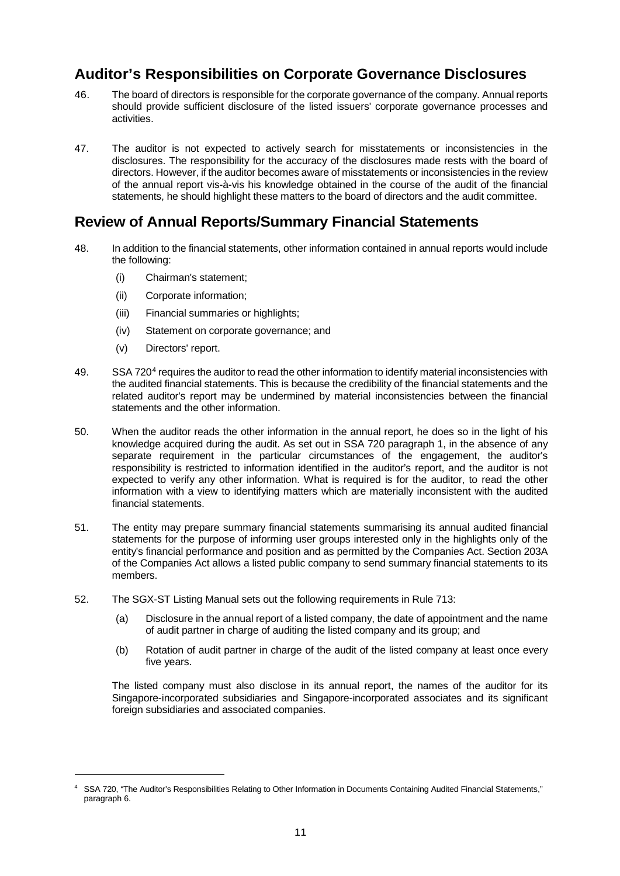# **Auditor's Responsibilities on Corporate Governance Disclosures**

- 46. The board of directors is responsible for the corporate governance of the company. Annual reports should provide sufficient disclosure of the listed issuers' corporate governance processes and activities.
- 47. The auditor is not expected to actively search for misstatements or inconsistencies in the disclosures. The responsibility for the accuracy of the disclosures made rests with the board of directors. However, if the auditor becomes aware of misstatements or inconsistencies in the review of the annual report vis-à-vis his knowledge obtained in the course of the audit of the financial statements, he should highlight these matters to the board of directors and the audit committee.

### **Review of Annual Reports/Summary Financial Statements**

- 48. In addition to the financial statements, other information contained in annual reports would include the following:
	- (i) Chairman's statement;
	- (ii) Corporate information;
	- (iii) Financial summaries or highlights;
	- (iv) Statement on corporate governance; and
	- (v) Directors' report.

 $\overline{a}$ 

- 49. SSA 720<sup>4</sup> requires the auditor to read the other information to identify material inconsistencies with the audited financial statements. This is because the credibility of the financial statements and the related auditor's report may be undermined by material inconsistencies between the financial statements and the other information.
- 50. When the auditor reads the other information in the annual report, he does so in the light of his knowledge acquired during the audit. As set out in SSA 720 paragraph 1, in the absence of any separate requirement in the particular circumstances of the engagement, the auditor's responsibility is restricted to information identified in the auditor's report, and the auditor is not expected to verify any other information. What is required is for the auditor, to read the other information with a view to identifying matters which are materially inconsistent with the audited financial statements.
- 51. The entity may prepare summary financial statements summarising its annual audited financial statements for the purpose of informing user groups interested only in the highlights only of the entity's financial performance and position and as permitted by the Companies Act. Section 203A of the Companies Act allows a listed public company to send summary financial statements to its members.
- 52. The SGX-ST Listing Manual sets out the following requirements in Rule 713:
	- (a) Disclosure in the annual report of a listed company, the date of appointment and the name of audit partner in charge of auditing the listed company and its group; and
	- (b) Rotation of audit partner in charge of the audit of the listed company at least once every five years.

The listed company must also disclose in its annual report, the names of the auditor for its Singapore-incorporated subsidiaries and Singapore-incorporated associates and its significant foreign subsidiaries and associated companies.

<sup>4</sup> SSA 720, "The Auditor's Responsibilities Relating to Other Information in Documents Containing Audited Financial Statements," paragraph 6.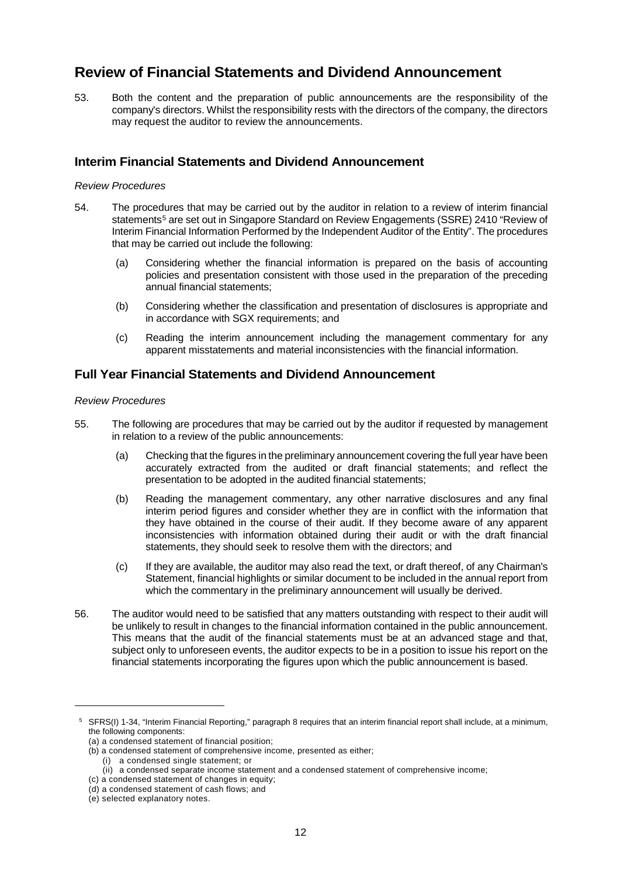# **Review of Financial Statements and Dividend Announcement**

53. Both the content and the preparation of public announcements are the responsibility of the company's directors. Whilst the responsibility rests with the directors of the company, the directors may request the auditor to review the announcements.

#### **Interim Financial Statements and Dividend Announcement**

#### *Review Procedures*

- 54. The procedures that may be carried out by the auditor in relation to a review of interim financial statements<sup>5</sup> are set out in Singapore Standard on Review Engagements (SSRE) 2410 "Review of Interim Financial Information Performed by the Independent Auditor of the Entity". The procedures that may be carried out include the following:
	- (a) Considering whether the financial information is prepared on the basis of accounting policies and presentation consistent with those used in the preparation of the preceding annual financial statements;
	- (b) Considering whether the classification and presentation of disclosures is appropriate and in accordance with SGX requirements; and
	- (c) Reading the interim announcement including the management commentary for any apparent misstatements and material inconsistencies with the financial information.

#### **Full Year Financial Statements and Dividend Announcement**

#### *Review Procedures*

- 55. The following are procedures that may be carried out by the auditor if requested by management in relation to a review of the public announcements:
	- (a) Checking that the figures in the preliminary announcement covering the full year have been accurately extracted from the audited or draft financial statements; and reflect the presentation to be adopted in the audited financial statements;
	- (b) Reading the management commentary, any other narrative disclosures and any final interim period figures and consider whether they are in conflict with the information that they have obtained in the course of their audit. If they become aware of any apparent inconsistencies with information obtained during their audit or with the draft financial statements, they should seek to resolve them with the directors; and
	- (c) If they are available, the auditor may also read the text, or draft thereof, of any Chairman's Statement, financial highlights or similar document to be included in the annual report from which the commentary in the preliminary announcement will usually be derived.
- 56. The auditor would need to be satisfied that any matters outstanding with respect to their audit will be unlikely to result in changes to the financial information contained in the public announcement. This means that the audit of the financial statements must be at an advanced stage and that, subject only to unforeseen events, the auditor expects to be in a position to issue his report on the financial statements incorporating the figures upon which the public announcement is based.

 $\overline{a}$ 

<sup>5</sup> SFRS(I) 1-34, "Interim Financial Reporting," paragraph 8 requires that an interim financial report shall include, at a minimum, the following components:

<sup>(</sup>a) a condensed statement of financial position;

<sup>(</sup>b) a condensed statement of comprehensive income, presented as either;

<sup>(</sup>i) a condensed single statement; or

<sup>(</sup>ii) a condensed separate income statement and a condensed statement of comprehensive income;

<sup>(</sup>c) a condensed statement of changes in equity;

<sup>(</sup>d) a condensed statement of cash flows; and

<sup>(</sup>e) selected explanatory notes.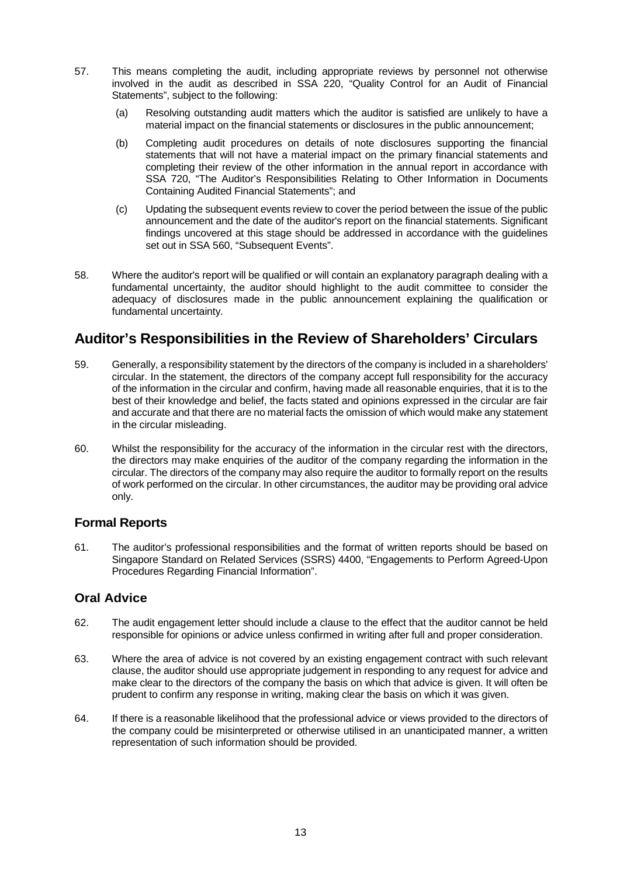- 57. This means completing the audit, including appropriate reviews by personnel not otherwise involved in the audit as described in SSA 220, "Quality Control for an Audit of Financial Statements", subject to the following:
	- (a) Resolving outstanding audit matters which the auditor is satisfied are unlikely to have a material impact on the financial statements or disclosures in the public announcement;
	- (b) Completing audit procedures on details of note disclosures supporting the financial statements that will not have a material impact on the primary financial statements and completing their review of the other information in the annual report in accordance with SSA 720, "The Auditor's Responsibilities Relating to Other Information in Documents Containing Audited Financial Statements"; and
	- (c) Updating the subsequent events review to cover the period between the issue of the public announcement and the date of the auditor's report on the financial statements. Significant findings uncovered at this stage should be addressed in accordance with the guidelines set out in SSA 560, "Subsequent Events".
- 58. Where the auditor's report will be qualified or will contain an explanatory paragraph dealing with a fundamental uncertainty, the auditor should highlight to the audit committee to consider the adequacy of disclosures made in the public announcement explaining the qualification or fundamental uncertainty.

# **Auditor's Responsibilities in the Review of Shareholders' Circulars**

- 59. Generally, a responsibility statement by the directors of the company is included in a shareholders' circular. In the statement, the directors of the company accept full responsibility for the accuracy of the information in the circular and confirm, having made all reasonable enquiries, that it is to the best of their knowledge and belief, the facts stated and opinions expressed in the circular are fair and accurate and that there are no material facts the omission of which would make any statement in the circular misleading.
- 60. Whilst the responsibility for the accuracy of the information in the circular rest with the directors, the directors may make enquiries of the auditor of the company regarding the information in the circular. The directors of the company may also require the auditor to formally report on the results of work performed on the circular. In other circumstances, the auditor may be providing oral advice only.

#### **Formal Reports**

61. The auditor's professional responsibilities and the format of written reports should be based on Singapore Standard on Related Services (SSRS) 4400, "Engagements to Perform Agreed-Upon Procedures Regarding Financial Information".

#### **Oral Advice**

- 62. The audit engagement letter should include a clause to the effect that the auditor cannot be held responsible for opinions or advice unless confirmed in writing after full and proper consideration.
- 63. Where the area of advice is not covered by an existing engagement contract with such relevant clause, the auditor should use appropriate judgement in responding to any request for advice and make clear to the directors of the company the basis on which that advice is given. It will often be prudent to confirm any response in writing, making clear the basis on which it was given.
- 64. If there is a reasonable likelihood that the professional advice or views provided to the directors of the company could be misinterpreted or otherwise utilised in an unanticipated manner, a written representation of such information should be provided.